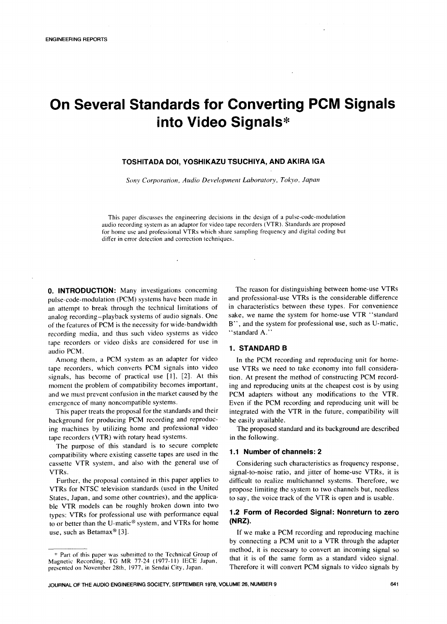## On Several Standards for Converting PCM Signals into Video Signals\*

### TOSHITADA DOI, YOSHIKAZU TSUCHIYA, AND AKIRA IGA

**Sony Corporation, Audio Devel**o**pment Laboratory, Tok**y**o**, **Japan**

This paper discusses the engineering decisions in the design of a pulse-code-modulation audio recording system as an adaptor for video tape recorders (VTR). Standards are proposed for home use and professional VTRs which share sampling frequency and digital coding but differ in error detection and correction techniques.

**0. INTRODUCTION:** Many investigations concerning The reason for distinguishing between home-use VTRs pulse-code-modulation (PCM) systems have been made in and professional-use VTRs is the considerable difference pulse-code-modulation (PCM) systems have been made in and professional-use VTRs is the considerable difference<br>an attempt to break through the technical limitations of in characteristics between these types. For convenienc an attempt to break through the technical limitations of in characteristics between these types. For convenience<br>analog recording–playback systems of audio signals. One sake, we name the system for home-use VTR "standard analog recording-playback systems of audio signals. One sake, we name the system for home-use VTR "standard<br>of the features of PCM is the necessity for wide-bandwidth B", and the system for professional use, such as U-mati of the features of PCM is the necessity for wide-bandwidth  $B''$ , and the syntepropriational use, such video systems as video "standard A." recording media, and thus such video systems as video tape recorders or video disks are considered for use in audio PCM. 1. STANDARD B

Among them, a PCM system as an adapter for video<br>he recorders, which converts PCM signals into video<br>use VTRs we need to take economy into full consideratape recorders, which converts PCM signals into video signals, has become of practical use  $[1]$ ,  $[2]$ . At this moment the problem of compatibility becomes important,

background for producing PCM recording and reproduc-<br>ing machines by utilizing home and professional video<br>The proposed standard and its background are described ing machines by utilizing home and professional video The proposed standard recorders (VTR) with rotary head systems. tape recorders (VTR) with rotary head systems.

The purpose of this standard is to secure complete compatibility where existing cassette tapes are used in the **1.1 Number of channels: 2**<br>cassette VTR system, and also with the general use of Considering such characteristics as frequency response, cassette VTR system, and also with the general use of VTRs.

VTRs for NTSC television standards (used in the United States, Japan, and some other countries), and the applicable VTR models can be roughly broken down into two types: VTRs for professional use with performance equal **1.2 Form of Recorded Signal: Nonreturn to zero**<br>to or hetter than the U-matic® system, and VTRs for home (NRZ). to or better than the U-matic<sup>®</sup> system, and VTRs for home use, such as Betamax<sup>®</sup> [3].

tion. At present the method of constructing PCM record-<br>ing and reproducing units at the cheapest cost is by using and we must prevent confusion in the market caused by the PCM adapters without any modifications to the VTR.<br>Even if the PCM recording and reproducing unit will be Even if the PCM recording and reproducing unit will be This paper treats the proposal for the standards and their integrated with the VTR in the future, compatibility will ckground for producing PCM recording and reproduc- be easily available.

signal-to-noise ratio, and jitter of home-use VTRs, it is difficult to realize multichannel systems. Therefore, we Further, the proposal contained in this paper applies to difficult to realize multichannel systems. Therefore, we<br>TRs for NTSC television standards (used in the United propose limiting the system to two channels but, needl to say, the voice track of the VTR is open and is usable.

If we make a PCM recording and reproducing machine by connecting a PCM unit to a VTR through the adapter method, it is necessary to convert an incoming signal so<br>\* Part of this paper was submitted to the Technical Group of that it is of the same form as a standard video signal.

Magnetic Recording, TG MR 77-24 (1977-11) IECE Japan, that it is of the same form as a standard video signal.<br>presented on November 28th, 1977, in Sendai City, Japan. Therefore it will convert PCM signals to video signals presented on November 28th, 1977, in Sendai City, Japan.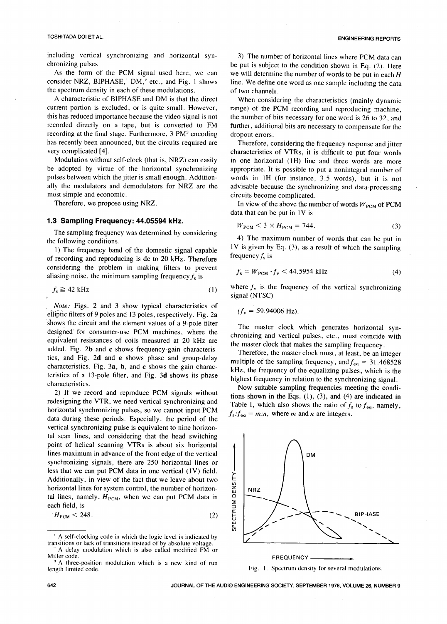### TOSHITADA DOI ET AL. **ENGINEERING REPORTS**

including vertical synchronizing and horizontal syn-<br>chronizing pulses.<br>be put is subject to the condition shown in Eq. (2). Here

the spectrum density in each of these modulations.<br>A characteristic of BIPHASE and DM is that the direct

A characteristic of BIPHASE and DM is that the direct When considering the characteristics (mainly dynamic current portion is excluded, or is quite small. However, range) of the PCM recording and reproducing machine current portion is excluded, or is quite small. However, range) of the PCM recording and reproducing machine, this has reduced importance because the video signal is not the number of bits necessary for one word is 26 to 3 this has reduced importance because the video signal is not the number of bits necessary for one word is 26 to 32, and recorded directly on a tape, but is converted to FM further, additional bits are necessary to compensat recording at the final stage. Furthermore, 3 PM<sup>3</sup> encoding has recently been announced, but the circuits required are has recently been announced, but the circuits required are Therefore, considering the frequency response and jitter<br>characteristics of VTRs, it is difficult to put four words

Modulation without self-clock (that is, NRZ) can easily in one horizontal (1H) line and three words are more<br>be adopted by virtue of the horizontal synchronizing appropriate. It is possible to put a nonintegral number of be adopted by virtue of the horizontal synchronizing appropriate. It is possible to put a nonintegral number of pulses between which the jitter is small enough. Addition-<br>words in 1H (for instance, 3.5 words), but it is no ally the modulators and demodulators for NRZ are the advisable because the synchronizing and data-processing most simple and economic. ost simple and economic.<br>
Therefore, we propose using NRZ.<br>
In view of the above the nu

### 1.3 Sampling Frequency: 44.05594 kHz.

The sampling frequency was determined by considering the following conditions.

1) The frequency band of the domestic signal capable  $\frac{1 \text{V}}{2}$  is given by recording and reproducing is do to 20 kHz. Therefore of recording and reproducing is dc to 20 kHz. Therefore considering the problem in making filters to prevent aliasing noise, the minimum sampling frequency  $f_s$  is

$$
f_s \ge 42 \text{ kHz} \tag{1}
$$

**Note:** Figs. 2 and 3 show typical characteristics of elliptic filters of 9 poles and 13 poles, respectively. Fig. 2a shows the circuit and the element values of a 9-pole filter shows the circuit and the element values of a 9-pole filter The master clock which generates horizontal syn-<br>designed for consumer-use PCM machines, where the absorption and variable pulses at a must of the idea designed to consumer-use PCM machines, where the chronizing and vertical pulses, etc., must coincide with equivalent resistances of coils measured at 20 kHz are equivalent resistances of coils measured at 20 kHz are the master clock that makes the sampling frequency.<br>added. Fig. 2b and c shows frequency-gain characteris-<br>Therefore, the master algebraica at least he said. added. Fig. 2b and c shows frequency-gain characteris-<br>tics, and Fig. 2d and e shows phase and group-delay<br>multiple of the contribution frequency of the distribution of the same integer tics, and Fig. 2d and e shows phase and group-delay multiple of the sampling frequency, and  $f_{eq} = 31.468528$  characteristics. Fig. 3a, b, and c shows the gain characcharacteristics. Fig. 3a, b, and c shows the gain charac-<br>teristics of a 13-pole filter, and Fig. 3d shows its phase<br>highest frequency in relation to the cumphrenicle planel. teristics of a 13-pole filter, and Fig. 3d shows its phase highest frequency in relation to the synchronizing signal.<br>Characteristics.

2) If we record and reproduce PCM signals without tions shown in the Eqs. (1), (3), and (4) are indicated in redesigning the VTR, we need vertical synchronizing and Table I, which also shows the ratio of f to form and redesigning the v<sub>TR</sub>, we need vertical synchronizing and Table I, which also shows the ratio of  $f_s$  to  $f_{eq}$ , namely, horizontal synchronizing pulses, so we cannot input PCM  $f_s : f_{eq} = m.n$ , where m and n are integers. data during these periods. Especially, the period of the  $f_s$ : $f_{eq} = m.n$ , where *m* and *n* are integers. vertical synchronizing pulse is equivalent to nine horizontal scan lines, and considering that the head switching point of helical scanning VTRs is about six horizontal lines maximum in advance of the front edge of the vertical less that we can put PCM data in one vertical  $(1 \vee)$  held.  $\frac{1}{\vee}$ synchronizing signals, there are 250 horizontal lines or Additionally, in view of the fact that we leave about two horizontal lines for system control, the number of horizon-  $\vec{z}$   $\vec{n}$ tal lines, namely,  $H_{\text{PCM}}$ , when we can put PCM data in each field, is

$$
H_{\text{PCM}} < 248. \tag{2}
$$

ronizing pulses.<br>
chronizing pulses.<br>
chronizing pulses, be put is subject to the conditionshown in Eq. (2). Here<br>
character the form of the PCM signal used here, we can we will determine the number of words to be put in As the form of the PCM signal used here, we can we will determine the number of words to be put in each  $H$  consider NRZ, BIPHASE,<sup>1</sup> DM,<sup>2</sup> etc., and Fig. 1 shows line. We define one word as one sample including the data line. We define one word as one sample including the data of two channels.

further, additional bits are necessary to compensate for the dropout errors.

exteristics of VTRs, it is difficult to put four words<br>Modulation without self-clock (that is, NRZ) can easily in one horizontal (1H) line and three words are more pulses between which the jitter is small enough. Addition-<br>ally the modulators and demodulators for NRZ are the advisable because the synchronizing and data-processing

In view of the above the number of words  $W_{\text{PCM}}$  of PCM data that can be put in IV is

$$
W_{\text{PCM}} < 3 \times H_{\text{PCM}} = 744. \tag{3}
$$

4) The maximum number of words that can be put in 1V is given by Eq.  $(3)$ , as a result of which the sampling

$$
f_s = WPCM \cdot f_v < 44.5954 \text{ kHz}
$$
 (4)

where  $f_v$  is the frequency of the vertical synchronizing **.** signal (NTSC)

$$
(f_{\rm v}=59.94006~{\rm Hz}).
$$

characteristics.<br>
2) If we record and reproduce PCM signals without  $\frac{1}{2}$  tions shown in the Eqs. (1) (3) and (4) are indicated in



A self-clocking code in which the logic level is indicated by  $\bigcup$ transitions or lack of transitions instead of by absolute voltage.  $A$  delay modulation which is also called modified FM or Miller code.

Miller code.<br><sup>3</sup> A three-position modulation which is a new kind of run length limited code. The contract of the contract of the contract of the Fig. 1. Spectrum density for several modulations.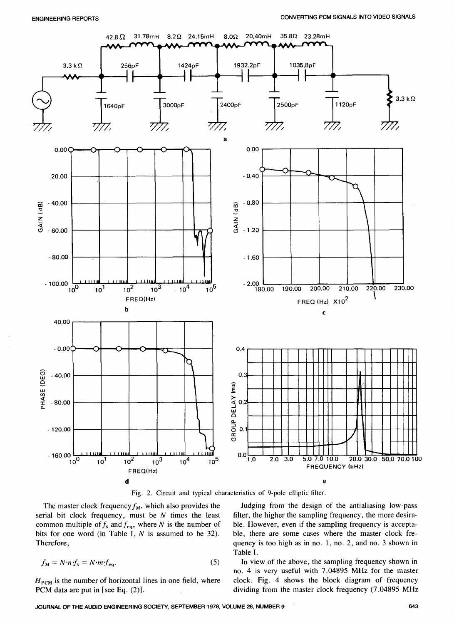

Fig. 2. Circui**t** and typical characteristics of 9-pole elliptic fi**l**ter.

serial bit clock frequency, must be *N* times the least filter, the higher the sampling frequency, the more desira-<br>common multiple of  $f_s$  and  $f_{eq}$ , where *N* is the number of ble. However, even if the sampling frequen common multiple of  $f_s$  and  $f_{eq}$ , where *N* is the number of ble. However, even if the sampling frequency is accepta-<br>bits for one word (in Table I, *N* is assumed to be 32). ble, there are some cases where the master c bits for one word (in Table I,  $N$  is assumed to be 32).

$$
f_{\rm M} = N \cdot n \cdot f_{\rm s} = N \cdot m \cdot f_{\rm eq}.\tag{5}
$$

The master clock frequency  $f_M$ , which also provides the Judging from the design of the antialiasing low-pass rial bit clock frequency, must be N times the least filter, the higher the sampling frequency, the more desira-Therefore, **Therefore**, **Therefore**, **Therefore**, **quency** is too high as in no. 1, no. 2, and no. 3 shown in Table I.

*f*  $\mathbf{I}$  *n* view of the above, the sampling frequency shown in no. 4 is very useful with 7.04895 MHz for the master  $H_{\text{PCM}}$  is the number of horizontal lines in one field, where clock. Fig. 4 shows the block diagram of frequency  $PCM$  data are put in [see Eq. (2)].<br> **PCM** data are put in [see Eq. (2)]. dividing from the master clock frequency (7.04895 MHz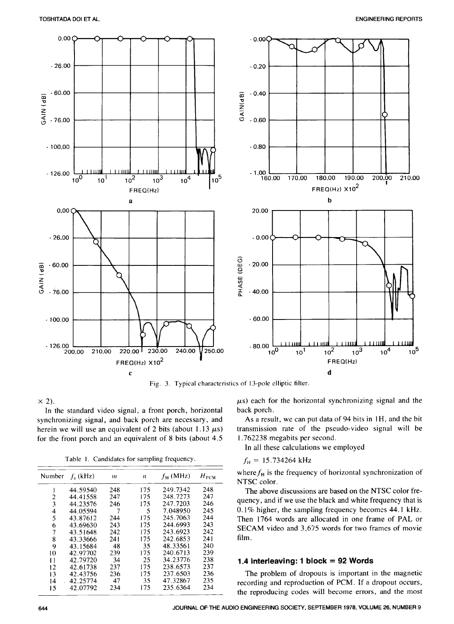

Fig. 3. Typical characteristics of 13-pole elliptic filter.

In the standard video signal, a front porch, horizontal back porch.<br>
nchronizing signal, and back porch are necessary, and As a result, we can put data of 94 bits in 1H, and the bit synchronizing, signal, and back porch are necessary, and As a result, we can put data of 94 bits in 1H, and the bit herein we will use an equivalent of 2 bits (about 1.13  $\mu$ s) transmission rate of the pseudo-video signa herein we will use an equivalent of 2 bits (about 1.13  $\mu$ s) transmission rate of the pseudor the front porch and an equivalent of 8 bits (about 4.5 1.762238 megabits per second. for the front porch and an equivalent of 8 bits (about  $4.5$ 

Table 1. Candidates for sampling frequency.  $f_H = 15.734264 \text{ kHz}$ 

| $H_{\rm{PCM}}$<br>$f_{\rm M}$ (MHz)<br>Number<br>$f_s$ (kHz)<br>$\boldsymbol{n}$<br>m<br>248<br>249.7342<br>175<br>44.59540<br>248<br>247<br>248.7273<br>175<br>2<br>44.41558<br>247<br>247.7203<br>246<br>175<br>3<br>44.23576<br>246<br>7.048950<br>245<br>7<br>5<br>44.05594<br>4<br>5<br>245.7063<br>244<br>175<br>43.87612<br>244<br>243<br>244.6993<br>243<br>175<br>43.69630<br>6<br>242<br>243.6923<br>7<br>175<br>242<br>43.51648<br>242.6853<br>241<br>175<br>8<br>43.33666<br>241<br>240<br>48.33561<br>48<br>35<br>9<br>43.15684<br>239<br>240.6713<br>175<br>239<br>10<br>42.97702<br>238<br>34.23776<br>34<br>25<br>42.79720<br>11<br>237<br>238.6573<br>237<br>175<br>42.61738<br>12<br>236<br>175<br>237.6503<br>236<br>42.43756<br>13<br>235<br>47.32867<br>35<br>47 |    |          |  |  |
|---------------------------------------------------------------------------------------------------------------------------------------------------------------------------------------------------------------------------------------------------------------------------------------------------------------------------------------------------------------------------------------------------------------------------------------------------------------------------------------------------------------------------------------------------------------------------------------------------------------------------------------------------------------------------------------------------------------------------------------------------------------------------------------|----|----------|--|--|
|                                                                                                                                                                                                                                                                                                                                                                                                                                                                                                                                                                                                                                                                                                                                                                                       |    |          |  |  |
|                                                                                                                                                                                                                                                                                                                                                                                                                                                                                                                                                                                                                                                                                                                                                                                       |    |          |  |  |
|                                                                                                                                                                                                                                                                                                                                                                                                                                                                                                                                                                                                                                                                                                                                                                                       |    |          |  |  |
|                                                                                                                                                                                                                                                                                                                                                                                                                                                                                                                                                                                                                                                                                                                                                                                       |    |          |  |  |
|                                                                                                                                                                                                                                                                                                                                                                                                                                                                                                                                                                                                                                                                                                                                                                                       |    |          |  |  |
|                                                                                                                                                                                                                                                                                                                                                                                                                                                                                                                                                                                                                                                                                                                                                                                       |    |          |  |  |
|                                                                                                                                                                                                                                                                                                                                                                                                                                                                                                                                                                                                                                                                                                                                                                                       |    |          |  |  |
|                                                                                                                                                                                                                                                                                                                                                                                                                                                                                                                                                                                                                                                                                                                                                                                       |    |          |  |  |
|                                                                                                                                                                                                                                                                                                                                                                                                                                                                                                                                                                                                                                                                                                                                                                                       |    |          |  |  |
|                                                                                                                                                                                                                                                                                                                                                                                                                                                                                                                                                                                                                                                                                                                                                                                       |    |          |  |  |
|                                                                                                                                                                                                                                                                                                                                                                                                                                                                                                                                                                                                                                                                                                                                                                                       |    |          |  |  |
|                                                                                                                                                                                                                                                                                                                                                                                                                                                                                                                                                                                                                                                                                                                                                                                       |    |          |  |  |
|                                                                                                                                                                                                                                                                                                                                                                                                                                                                                                                                                                                                                                                                                                                                                                                       |    |          |  |  |
|                                                                                                                                                                                                                                                                                                                                                                                                                                                                                                                                                                                                                                                                                                                                                                                       |    |          |  |  |
|                                                                                                                                                                                                                                                                                                                                                                                                                                                                                                                                                                                                                                                                                                                                                                                       | 14 | 42.25774 |  |  |
| 234<br>235.6364<br>175<br>234<br>15<br>42.07792                                                                                                                                                                                                                                                                                                                                                                                                                                                                                                                                                                                                                                                                                                                                       |    |          |  |  |

 $\times$  2).

In all these calculations we employed

where  $f_H$  is the frequency of horizontal synchronization of NTSC color.

The above discussions are based on the NTSC color frequency, and if we use the black and white frequency that is  $0.1\%$  higher, the sampling frequency becomes 44.1 kHz. Then 1764 words are allocated in one frame of PAL or SECAM video and 3,675 words for two frames of movie film.

### 11 42.79720 34 25 34.23776 238 **1.4** I**nterleaving: 1 block = 92 Words**

The problem of dropouts is important in the magnetic recording and reproduction of PCM. If a dropout occurs, the reproducing codes will become err*o*rs, and the most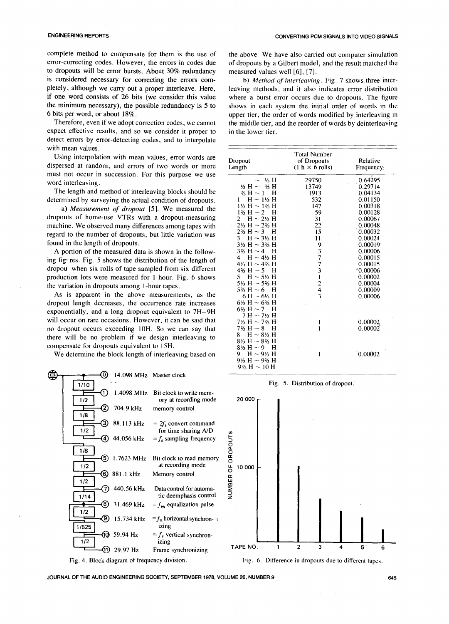complete method to compensate for them is the use of the above. We have also carried out computer simulation error-correcting codes. However, the errors in codes due of dropouts by a Gilbert model, and the result matched t to dropouts will be error bursts. About 30% redundancy is considered necessary for correcting the errors com-<br>pletely, although we carry out a proper interleave. Here, leaving methods, and it also indicates error distribution pletely, although we carry out a proper interleave. Here, if one word consists of 26 bits (we consider this value if one word consists of 26 bits (we consider this value where a burst error occurs due to dropouts. The figure the minimum necessary), the possible redundancy is 5 to shows in each system the initial order of words in the the minimum necessary), the possible redundancy is 5 to shows in each system the initial order of words in the 6 bits per word, or about 18%.

expect effective results, and so we consider it proper to in the lower tier. detect errors by error-detecting codes, and to interpolate with mean values.



ENGINEERING REPORTS CONVERTING PCM SIGNALS INTO VIDEO SIGNALS

of dropouts by a Gilbert model, and the result matched the measured values well [6], [7].

bits per word, or about 18%.<br>Therefore, even if we adopt correction codes, we cannot the middle tier, and the reorder of words by deinterleaving the middle tier, and the reorder of words by deinterleaving

| with mean values.                                                                                                                                                                                                                                                                                                                                                                                                                                                                                                                                                                                                                                                                                                                                                                                                                                                                                                                              |                                                                                                                                                                                                                                                                                                                                                                                                                                                                                                                                                                                                                                                                   |                                                                                                                         |                                                                                                                                                                                                                  |
|------------------------------------------------------------------------------------------------------------------------------------------------------------------------------------------------------------------------------------------------------------------------------------------------------------------------------------------------------------------------------------------------------------------------------------------------------------------------------------------------------------------------------------------------------------------------------------------------------------------------------------------------------------------------------------------------------------------------------------------------------------------------------------------------------------------------------------------------------------------------------------------------------------------------------------------------|-------------------------------------------------------------------------------------------------------------------------------------------------------------------------------------------------------------------------------------------------------------------------------------------------------------------------------------------------------------------------------------------------------------------------------------------------------------------------------------------------------------------------------------------------------------------------------------------------------------------------------------------------------------------|-------------------------------------------------------------------------------------------------------------------------|------------------------------------------------------------------------------------------------------------------------------------------------------------------------------------------------------------------|
| Using interpolation with mean values, error words are<br>dispersed at random, and errors of two words or more                                                                                                                                                                                                                                                                                                                                                                                                                                                                                                                                                                                                                                                                                                                                                                                                                                  | Dropout<br>Length                                                                                                                                                                                                                                                                                                                                                                                                                                                                                                                                                                                                                                                 | <b>Total Number</b><br>of Dropouts<br>$(1 h \times 6$ rolls)                                                            | Relative<br>Frequency:                                                                                                                                                                                           |
| must not occur in succession. For this purpose we use<br>word interleaving.<br>The length and method of interleaving blocks should be<br>determined by surveying the actual condition of dropouts.<br>a) Measurement of dropout [5]. We measured the<br>dropouts of home-use VTRs with a dropout-measuring<br>machine. We observed many differences among tapes with<br>regard to the number of dropouts, but little variation was<br>found in the length of dropouts.<br>A portion of the measured data is shown in the follow-<br>ing fig res. Fig. 5 shows the distribution of the length of<br>dropou when six rolls of tape sampled from six different<br>production lots were measured for 1 hour. Fig. 6 shows<br>the variation in dropouts among 1-hour tapes.<br>As is apparent in the above measurements, as the<br>dropout length decreases, the occurrence rate increases<br>exponentially, and a long dropout equivalent to 7H-9H | $\sim$ % H<br>$1/3$ H $\sim$ 2/3 H<br>$3/5$ H $\sim$ 1 H<br>$H \sim 1\frac{1}{3}H$<br>$1\frac{1}{3}$ H $\sim$ 1\% H<br>$1\% H \sim 2$ H<br>2 H $\sim$ 2\/ <sub>3</sub> H<br>$2\frac{1}{3}$ H $\sim$ 2\% H<br>$2\% H \sim 3$ H<br>$H \sim 3\% H$<br>3.<br>$3\% H \sim 3\% H$<br>$3\% H \sim 4$ H<br>4 H $\sim$ 4 $\frac{1}{3}$ H<br>4 <sup>1</sup> / <sub>3</sub> H $\sim$ 4 <sup>2</sup> / <sub>3</sub> H<br>$4\% H \sim 5$ H<br>5 H $\sim$ 5% H<br>5 <sup>1</sup> / <sub>3</sub> H $\sim$ 5 <sup>2</sup> / <sub>3</sub> H<br>5% H $\sim$ 6 H<br>$6 H \sim 6\% H$<br>6 <sup>1</sup> / <sub>3</sub> H $\sim$ 6 <sup>2</sup> / <sub>3</sub> H<br>$6\%$ H $\sim$ 7 H | 29750<br>13749<br>1913<br>532<br>147<br>59<br>31<br>22<br>15<br>11<br>9<br>3<br>7<br>7<br>3<br>$\overline{c}$<br>4<br>3 | 0.64295<br>0.29714<br>0.04134<br>0.01150<br>0.00318<br>0.00128<br>0.00067<br>0.00048<br>0.00032<br>0.00024<br>0.00019<br>0.00006<br>0.00015<br>0.00015<br>$-0.00006$<br>0.00002<br>0.00004<br>0.00009<br>0.00006 |
| will occur on rare occasions. However, it can be said that<br>no dropout occurs exceeding 10H. So we can say that<br>there will be no problem if we design interleaving to<br>compensate for dropouts equivalent to 15H.<br>We determine the block length of interleaving based on                                                                                                                                                                                                                                                                                                                                                                                                                                                                                                                                                                                                                                                             | $7 H \sim 7\frac{1}{3} H$<br>$7\% H \sim 7\% H$<br>$7\% H \sim 8$ H<br>8 $H \sim 8\% H$<br>$8\% H \sim 8\% H$<br>$8\% H \sim 9$ H<br>$H \sim 9\% H$<br>9.<br>$9\% H \sim 9\% H$<br>$9\% H \sim 10 H$                                                                                                                                                                                                                                                                                                                                                                                                                                                              |                                                                                                                         | 0.00002<br>0.00002<br>0.00002                                                                                                                                                                                    |
| e<br>⋒<br>$14.009$ MII <sub>n</sub> Moster algeb                                                                                                                                                                                                                                                                                                                                                                                                                                                                                                                                                                                                                                                                                                                                                                                                                                                                                               |                                                                                                                                                                                                                                                                                                                                                                                                                                                                                                                                                                                                                                                                   |                                                                                                                         |                                                                                                                                                                                                                  |

Fig. 5. Distribution of dropout.



JOURNAL OF THE AUDIO ENGINEERING SOCIETY, SEPTEMBER 1978, VOLUME 26, NUMBER 9 645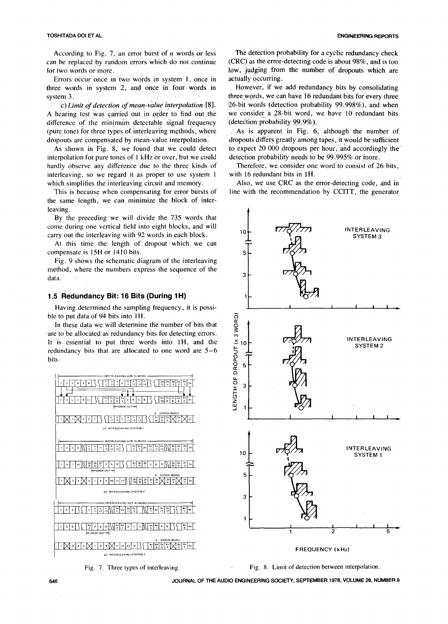### TOSHITADA DUI ET AL. ENGINE**E**RING REPORTS

According to Fig. 7, an error burst of *n* words or less The detection probability for a cyclic redundancy check can be replaced by random errors which do not continue (CRC) as the error-detecting code is about 98%, and is too<br>for two words or more.<br>low, judging from the number of dropouts which are

Errors occur once in two words in system 1, once in actually occurring.<br>Free words in system 2, and once in four words in However, if we add redundancy bits by consolidating three words in system 2, and once in four words in system 3.

A hearing test was carried out in order to find out the we consider a 28-bit word, we difference of the minimum detectable signal frequency (detection probability 99.9%). difference of the minimum detectable signal frequency (detection probability 99,9%).<br>(pure tone) for three types of interleaving methods, where As is apparent in Fig. 6, although the number of (pure tone) for three types of interleaving methods, where dropouts are compensated by mean-value interpolation.

interpolation for pure tones of 1 kHz or over, but we could detection probability needs to be 99.995% or more.<br>hardly observe any difference due to the three kinds of Therefore, we consider one word to consist of 26 bits, hardly observe any difference due to the three kinds of Therefore, we consider one interleaving, so we regard it as proper to use system  $1$  with 16 redundant bits in  $1\overline{H}$ . interleaving, so we regard it as proper to use system 1 which simplifies the interleaving circuit and memory.

the same length, we can minimize the block of interleaving.

By the preceding we will divide the 735 words that come during one vertical field into eight blocks, and will  $\frac{1}{10}$   $\frac{1}{10}$   $\frac{1}{\sqrt{2}}$ 

At this time the length of dropout which we can compensate is 15H or 1410 bits.

Fig. 9 shows the schematic diagram of the interleaving method, where the numbers express the sequence of the <sup>3</sup> data.

### 1.5 Redundancy Bit: 16 Bits (During 1H)

Having determined the sampling frequency, it is possible to put data of 94 bits into 1H.

In these data we will determine the number of bits that  $\begin{bmatrix} 1 & 2 \\ 3 & 4 \\ 6 & 7 \end{bmatrix}$ <br>e to be allocated as redundancy bits for detecting errors. are to be allocated as redundancy bits for detecting errors.<br>It is essential to put three words into 1H, and the  $\geq$ It is essential to put three words into 1H, and the  $\frac{X}{2}$  10<sup>-</sup>  $\boxed{V7\frac{X}{2}}$  INTERLEAVING SYSTEM 2 redundancy bits that are allocated to one word are  $5-6$  bits. bits.  $Q_{\text{o}}$ 





low, judging from the number of dropouts which are actually occurring.

three words, we can have 16 redundant bits for every three 26-bit words (detection probability 99.998%), and when c) *Limit of detection of mean-value interpolation* [8]. <sup>26</sup>-bit words (detection probability 99.998%), and when carried out in order to find out the we consider a 28-bit word, we have 10 redundant bits

dropouts are compensated by mean-value interpolation. dropouts differs greatly among tapes, it would be sufficient<br>As shown in Fig. 8, we found that we could detect to expect 20 000 dropouts per hour, and accordingly the to expect 20 000 dropouts per hour, and accordingly the detection probability needs to be 99.995% or more.

Also, we use CRC as the error-detecting code, and in This is because when compensating for error bursts of line with the recommendation by CCITT, the generator





646 JOURNAL OF THEAUDIO ENGINEERINGSOCI**ET**Y, SEPTEMBER 1978,VOLUME 26, NUMBER 9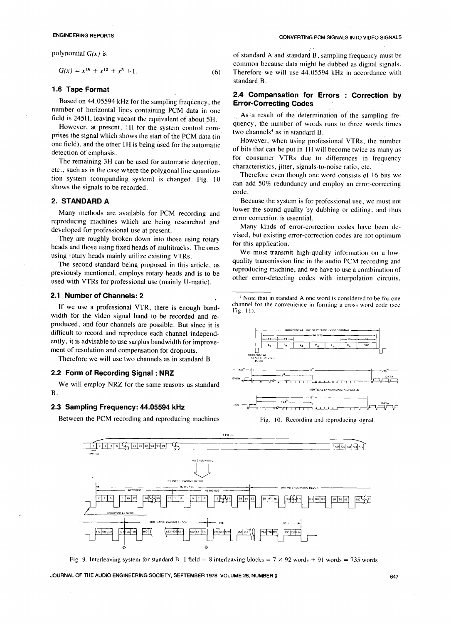$$
G(x) = x^{16} + x^{12} + x^5 + 1.
$$
 (6)

### 1.6 Tape Format

**Error-Correcting Codes**<br>
number of horizontal lines containing PCM data in one as a result of the determination

However, at present, 1H for the system control com-<br>prises the signal which shows the start of the PCM data (in one field), and the other IH is being used for the automatic

The remaining 3H can be used for automatic detection,<br>etc., such as in the case where the polygonal line quantiza-<br>The characteristics, jitter, signals-to-noise ratio, etc. etc., such as in the case where the polygonal line quantiza-<br>tion system (companding system) is changed. Fig. 10 shows the signals to be recorded.

reproducing machines which are being researched and

They are roughly broken down into those using rotary for this application.<br>heads and those using fixed heads of multitracks. The ones for this application.<br>we must transmit high-quality information on a low-

previously mentioned, employs rotary heads and is to be reproducing machine, and we have to use a combination of other error-detecting codes with interpolation circuits, used with VTRs for professional use (mainly U-matic).

If we use a professional VTR, there is enough band- Fig. II). width for the video signal band to be recorded and reproduced, and four channels are possible. But since it is difficult to record and reproduce each channel independently, it is advisable to use surplus bandwidth for improvement of resolution and compensation for dropouts.

Therefore we will use two channels as in standard B.

### 2.2 Form of Recording Signal: NRZ

We will employ NRZ for the same reasons as standard  $B$ .

### 2.3 Sampling Frequency: 44.05594 kHz

Between the PCM recording and reproducing machines Fig. 10. Recording and reproducing signal.

polynomial  $G(x)$  is **of standard A and standard B**, sampling frequency must be common because data might be dubbed as digital signals. Therefore we will use 44.05594 kHz in accordance with standard B.

# 2.4 Compensation for Errors : Correction by<br>Based on 44.05594 kHz for the sampling frequency, the Error-Correcting Codes

As a result of the determination of the sampling fre-<br>field is 245H, leaving vacant the equivalent of about 5H. <sup>H</sup>ere the system center learn. The sampling fre-<br>present the system center learn. The sampling of words runs

However, when using professional VTRs, the number detection of emphasis.<br>The remaining 3H can be used for automatic detection for consumer VTRs due to differences in frequency

can add 50% redundancy and employ an error-correcting code.

**2. STANDARD A Because the system is for professional use, we must not Because the system is for professional use, we must not** Many methods are available for PCM recording and lower the sound quality by dubbing or editing, and thus producing methods are available for PCM recording and error correction is essential.

developed for professional use at present.<br>They are roughly broken down into those using rotary<br>wised, but existing error-correction codes are not optimum

we must transmit high-quality information on a low-<br>quality transmission line in the audio PCM recording and<br>The second standard heirs agreement is this set of the set of the summission line in the audio PCM recording and The second standard being proposed in this article, as quality transmission line in the audio PCM recording and<br>reproducing machine, and we have to use a combination of

**2.1 Number of Channels: 2**  $\frac{1}{4}$  Note that in standard A one word is considered to be for one channel for the convenience in forming a cross word code (see<br>Fig. 11).







Fig. 9. Interleaving system for standard B. 1 field = 8 interleaving blocks =  $7 \times 92$  words + 91 words = 735 words

JOURNAL OF THE AUDIO ENGINEERING SOCIETY, SEPTEMBER 1978, VOLUME 26, NUMBER 9 **COMPANY 1978** 647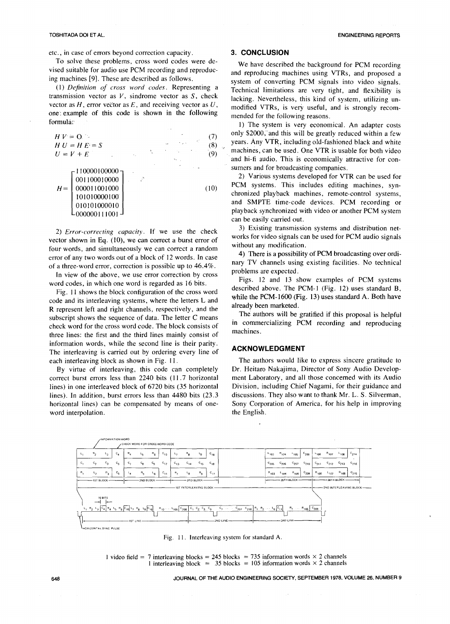etc., in case of errors beyond correction capacity.<br>
To solve these problems, cross word codes were de-<br>
We have describe To solve these problems, cross word codes were de-<br>vised suitable for audio use PCM recording and reproduc-<br>and reproducing mobines using VTBs, and reprosesd a

transmission vector as  $V$ , sindrome vector as  $S$ , check lacking. Nevertheless, this kind of system, utilizing un-<br>vector as  $H$ , error vector as  $E$ , and receiving vector as  $U$ , modified VTPs, is very useful, and is st vector as  $H$ , error vector as  $E$ , and receiving vector as  $U$ , modified VTRs, is very useful, and is strongly recom-<br>one example of this code is shown in the following mended for the following resears one: example of this code is shown in the following mended for the following reasons.<br>formula:

vector shown in Eq. (10), we can correct a burst error of  $\frac{WOTKS}{W}$  without any modification. four words, and simultaneously we can correct a random without any modification.<br>
4) There is a possibility of PCM broadcasting over ordierror of any two words out of a block of 12 words. In case  $\frac{4}{1}$  There is a possibility of PCM broadcasting over ordi-<br>nary TV channels using existing facilities. No technical of a three-word error, correction is possible up to  $46.4\%$ . nary TV channels using the station facilities. No technical problems are expected.

In view of the above, we use error correction by cross problems are expected.<br>Figs. 12 and 13 show examples of PCM systems

code and its interleaving systems, where the letters L and **while the PCM-1600 (F**<br>Both and have a standard A. Both have have a standard A. Both have a standard A. Both have have a standard A. B R represent left and right channels, respectively, and the already been marketed.<br>The authors will be gratified if this proposal is helpful subscript shows the sequence of data. The letter C means<br>shock will be gratified it this proposal is neipful<br>about word for the grace word code. The block consists of in commercializing PCM recording and reproducing check word for the cross word code. The block consists of  $\frac{m}{m}$  commercializing PCM recording and reproducing and reproducing and reproducing and reproducing and reproducing and reproducing and reproducing and reprodu three lines: the first and the third lines mainly consist of information words, while the second line is their parity. The interleaving is carried out by ordering every line of<br>each interleaving block as shown in Fig. 11. The authors would like

correct burst errors less than 2240 bits (11.7 horizontal lines) in one interleaved block of 6720 bits (35 horizontal horizontal lines) can be compensated by means of one-<br>word interpolation.<br>the English. word interpolation.

vised suitable for audio use PCM recording and reproduc-<br>ing machines [9]. These are described as follows.<br>sustant of converting PCM cionals into video cionals g machines [9]. These are described as follows. system of converting PCM signals into video signals.<br>(1) Definition of cross word codes. Representing a reachnical limitations are very tight, and flavibility is (1) *Definition* of cross word codes. Representing a Technical limitations are very tight, and flexibility is transmission vector as  $V$ , sindrome vector as  $S$ , check Lacking Newerhology this kind of quotam utilizing un

formulated. The system is very economical. An adapter costs only \$2000, and this will be greatly reduced within a few  $H V = 0$  ... (7) only \$2000, and this will be greatly reduced within a few<br> $H U = H E = S$  (8)  $(8)$  reasons Any VTR, including old-fashioned black and white  $U = V + E$  (9) machines, can be used. One VTR is usable for both video and hi-fi audio. This is economically attractive for con-

2) Various systems developed for VTR can be used for PCM systems. This includes editing machines, synchronized playback machines, remote-control systems, and SMPTE time-code devices. PCM recording or  $\begin{bmatrix} 010101000010 \\ 000000111001 \end{bmatrix}$  playback synchronized with video or another PCM system can be easily carried out.

2) *Error-correcting capacity*. If we use the check 3) Existing transmission systems and distribution net-<br>works for video signals can be used for PCM audio signals

word codes, in which one word is regarded as 16 bits.<br>Figs. 12 and 13 show examples of PCM systems<br>described above. The PCM-1 (Fig. 12) uses standard B, Fig. 11 shows the block configuration of the cross word described above. The PCM-1 (Fig. 12) uses standard B,<br>the exhibit interlevents we use the letters L and while the PCM-1600 (Fig. 13) uses standard A. Both have

The authors would like to express sincere gratitude to Dr. Heitaro Nakajima, Director of Sony Audio Develop-By virtue of interleaving, this code can completely Dr. Heitaro Nakajima, Director of Sony Audio Develop-<br>rrect burst errors less than 2240 bits (11.7 horizontal ment Laboratory, and all those concerned with its Audio Division, including Chief Nagami, for their guidance and discussions. They also want to thank Mr. L. S. Silverman, lines). In addition, burst errors less than 4480 bits (23.3 discussions. They also want to thank Mr. L. S. Silverman, horizontal lines) can be compensated by means of one-<br>Sony Corporation of America, for his help in impro



Fig. 11. Interleaving system for standard A.

1 video field = 7 interleaving blocks = 245 blocks = 735 information words  $\times$  2 channels 1 interleaving block = 35 blocks = 105 information words  $\times$  2 channels

**648** JOURNAL OF THE AUDIO ENGINEERING SOCIETY, SEPTEMBER 1978, VOLUME 26, NUMBER 9